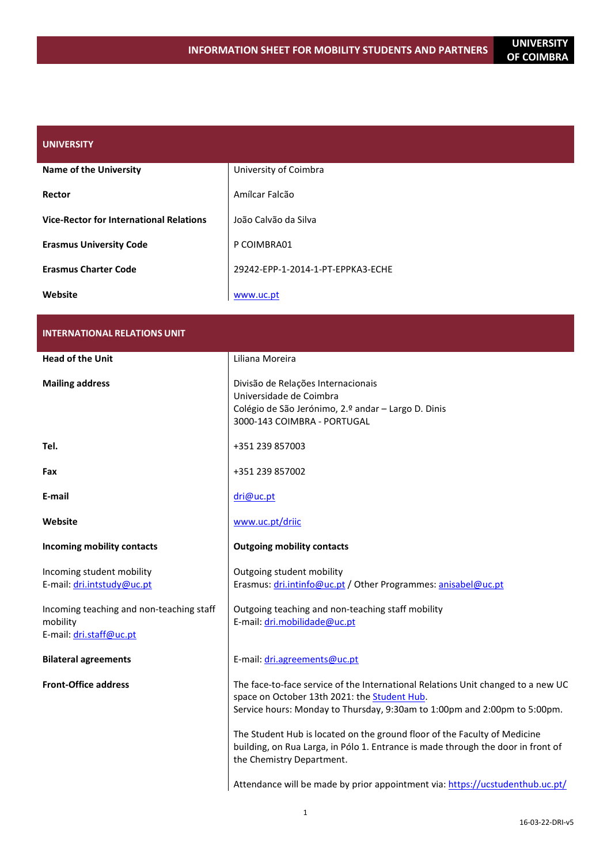| <b>UNIVERSITY</b>                              |                                   |
|------------------------------------------------|-----------------------------------|
| <b>Name of the University</b>                  | University of Coimbra             |
| Rector                                         | Amílcar Falcão                    |
| <b>Vice-Rector for International Relations</b> | João Calvão da Silva              |
| <b>Erasmus University Code</b>                 | P COIMBRA01                       |
| <b>Erasmus Charter Code</b>                    | 29242-EPP-1-2014-1-PT-EPPKA3-ECHE |
| Website                                        | www.uc.pt                         |

| <b>INTERNATIONAL RELATIONS UNIT</b>                                             |                                                                                                                                                                                                               |  |
|---------------------------------------------------------------------------------|---------------------------------------------------------------------------------------------------------------------------------------------------------------------------------------------------------------|--|
| <b>Head of the Unit</b>                                                         | Liliana Moreira                                                                                                                                                                                               |  |
| <b>Mailing address</b>                                                          | Divisão de Relações Internacionais<br>Universidade de Coimbra<br>Colégio de São Jerónimo, 2.º andar - Largo D. Dinis<br>3000-143 COIMBRA - PORTUGAL                                                           |  |
| Tel.                                                                            | +351 239 857003                                                                                                                                                                                               |  |
| Fax                                                                             | +351 239 857002                                                                                                                                                                                               |  |
| E-mail                                                                          | dri@uc.pt                                                                                                                                                                                                     |  |
| Website                                                                         | www.uc.pt/driic                                                                                                                                                                                               |  |
| Incoming mobility contacts                                                      | <b>Outgoing mobility contacts</b>                                                                                                                                                                             |  |
| Incoming student mobility<br>E-mail: dri.intstudy@uc.pt                         | Outgoing student mobility<br>Erasmus: dri.intinfo@uc.pt / Other Programmes: anisabel@uc.pt                                                                                                                    |  |
| Incoming teaching and non-teaching staff<br>mobility<br>E-mail: dri.staff@uc.pt | Outgoing teaching and non-teaching staff mobility<br>E-mail: dri.mobilidade@uc.pt                                                                                                                             |  |
| <b>Bilateral agreements</b>                                                     | E-mail: dri.agreements@uc.pt                                                                                                                                                                                  |  |
| <b>Front-Office address</b>                                                     | The face-to-face service of the International Relations Unit changed to a new UC<br>space on October 13th 2021: the Student Hub.<br>Service hours: Monday to Thursday, 9:30am to 1:00pm and 2:00pm to 5:00pm. |  |
|                                                                                 | The Student Hub is located on the ground floor of the Faculty of Medicine<br>building, on Rua Larga, in Pólo 1. Entrance is made through the door in front of<br>the Chemistry Department.                    |  |
|                                                                                 | Attendance will be made by prior appointment via: https://ucstudenthub.uc.pt/                                                                                                                                 |  |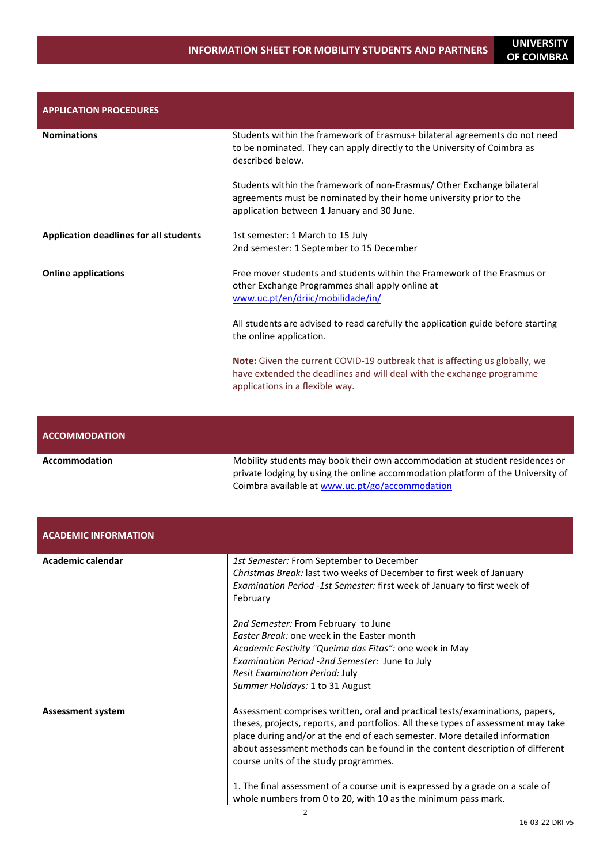| <b>APPLICATION PROCEDURES</b>                 |                                                                                                                                                                                                |
|-----------------------------------------------|------------------------------------------------------------------------------------------------------------------------------------------------------------------------------------------------|
| <b>Nominations</b>                            | Students within the framework of Erasmus+ bilateral agreements do not need<br>to be nominated. They can apply directly to the University of Coimbra as<br>described below.                     |
|                                               | Students within the framework of non-Erasmus/Other Exchange bilateral<br>agreements must be nominated by their home university prior to the<br>application between 1 January and 30 June.      |
| <b>Application deadlines for all students</b> | 1st semester: 1 March to 15 July<br>2nd semester: 1 September to 15 December                                                                                                                   |
| <b>Online applications</b>                    | Free mover students and students within the Framework of the Erasmus or<br>other Exchange Programmes shall apply online at<br>www.uc.pt/en/driic/mobilidade/in/                                |
|                                               | All students are advised to read carefully the application guide before starting<br>the online application.                                                                                    |
|                                               | <b>Note:</b> Given the current COVID-19 outbreak that is affecting us globally, we<br>have extended the deadlines and will deal with the exchange programme<br>applications in a flexible way. |

| <b>ACCOMMODATION</b> |                                                                                                                                                                                                                   |
|----------------------|-------------------------------------------------------------------------------------------------------------------------------------------------------------------------------------------------------------------|
| Accommodation        | Mobility students may book their own accommodation at student residences or<br>private lodging by using the online accommodation platform of the University of<br>Coimbra available at www.uc.pt/go/accommodation |

| <b>ACADEMIC INFORMATION</b> |                                                                                                                                                                                                                                                                                                                                                                           |
|-----------------------------|---------------------------------------------------------------------------------------------------------------------------------------------------------------------------------------------------------------------------------------------------------------------------------------------------------------------------------------------------------------------------|
| Academic calendar           | 1st Semester: From September to December<br>Christmas Break: last two weeks of December to first week of January<br>Examination Period -1st Semester: first week of January to first week of<br>February                                                                                                                                                                  |
|                             | 2nd Semester: From February to June<br>Easter Break: one week in the Easter month<br>Academic Festivity "Queima das Fitas": one week in May<br>Examination Period -2nd Semester: June to July<br>Resit Examination Period: July<br>Summer Holidays: 1 to 31 August                                                                                                        |
| <b>Assessment system</b>    | Assessment comprises written, oral and practical tests/examinations, papers,<br>theses, projects, reports, and portfolios. All these types of assessment may take<br>place during and/or at the end of each semester. More detailed information<br>about assessment methods can be found in the content description of different<br>course units of the study programmes. |
|                             | 1. The final assessment of a course unit is expressed by a grade on a scale of<br>whole numbers from 0 to 20, with 10 as the minimum pass mark.                                                                                                                                                                                                                           |

OF COIMBRA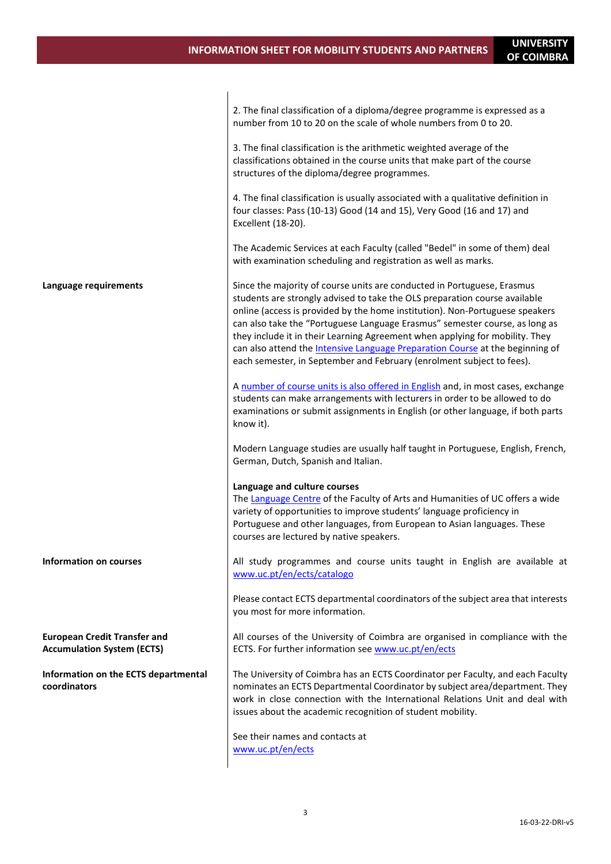OF COIMBRA

|                                                                          | 2. The final classification of a diploma/degree programme is expressed as a<br>number from 10 to 20 on the scale of whole numbers from 0 to 20.                                                                                                                                                                                                                                                                                                                                                                                                                       |
|--------------------------------------------------------------------------|-----------------------------------------------------------------------------------------------------------------------------------------------------------------------------------------------------------------------------------------------------------------------------------------------------------------------------------------------------------------------------------------------------------------------------------------------------------------------------------------------------------------------------------------------------------------------|
|                                                                          | 3. The final classification is the arithmetic weighted average of the<br>classifications obtained in the course units that make part of the course<br>structures of the diploma/degree programmes.                                                                                                                                                                                                                                                                                                                                                                    |
|                                                                          | 4. The final classification is usually associated with a qualitative definition in<br>four classes: Pass (10-13) Good (14 and 15), Very Good (16 and 17) and<br>Excellent (18-20).                                                                                                                                                                                                                                                                                                                                                                                    |
|                                                                          | The Academic Services at each Faculty (called "Bedel" in some of them) deal<br>with examination scheduling and registration as well as marks.                                                                                                                                                                                                                                                                                                                                                                                                                         |
| Language requirements                                                    | Since the majority of course units are conducted in Portuguese, Erasmus<br>students are strongly advised to take the OLS preparation course available<br>online (access is provided by the home institution). Non-Portuguese speakers<br>can also take the "Portuguese Language Erasmus" semester course, as long as<br>they include it in their Learning Agreement when applying for mobility. They<br>can also attend the <b>Intensive Language Preparation Course</b> at the beginning of<br>each semester, in September and February (enrolment subject to fees). |
|                                                                          | A number of course units is also offered in English and, in most cases, exchange<br>students can make arrangements with lecturers in order to be allowed to do<br>examinations or submit assignments in English (or other language, if both parts<br>know it).                                                                                                                                                                                                                                                                                                        |
|                                                                          | Modern Language studies are usually half taught in Portuguese, English, French,<br>German, Dutch, Spanish and Italian.                                                                                                                                                                                                                                                                                                                                                                                                                                                |
|                                                                          | Language and culture courses<br>The Language Centre of the Faculty of Arts and Humanities of UC offers a wide<br>variety of opportunities to improve students' language proficiency in<br>Portuguese and other languages, from European to Asian languages. These<br>courses are lectured by native speakers.                                                                                                                                                                                                                                                         |
| Information on courses                                                   | All study programmes and course units taught in English are available at<br>www.uc.pt/en/ects/catalogo                                                                                                                                                                                                                                                                                                                                                                                                                                                                |
|                                                                          | Please contact ECTS departmental coordinators of the subject area that interests<br>you most for more information.                                                                                                                                                                                                                                                                                                                                                                                                                                                    |
| <b>European Credit Transfer and</b><br><b>Accumulation System (ECTS)</b> | All courses of the University of Coimbra are organised in compliance with the<br>ECTS. For further information see www.uc.pt/en/ects                                                                                                                                                                                                                                                                                                                                                                                                                                  |
| Information on the ECTS departmental<br>coordinators                     | The University of Coimbra has an ECTS Coordinator per Faculty, and each Faculty<br>nominates an ECTS Departmental Coordinator by subject area/department. They<br>work in close connection with the International Relations Unit and deal with<br>issues about the academic recognition of student mobility.                                                                                                                                                                                                                                                          |
|                                                                          | See their names and contacts at<br>www.uc.pt/en/ects                                                                                                                                                                                                                                                                                                                                                                                                                                                                                                                  |